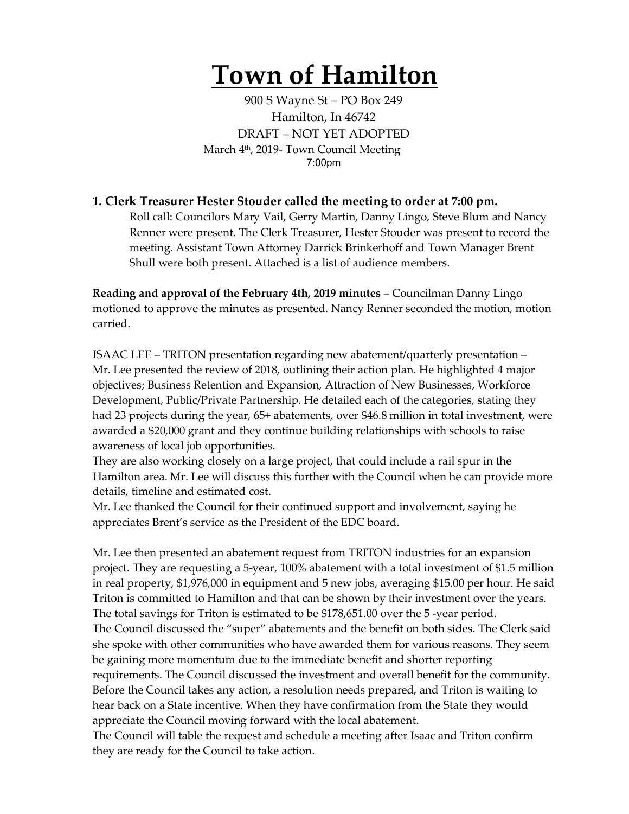# **Town of Hamilton**

900 S Wayne St – PO Box 249 Hamilton, In 46742 DRAFT – NOT YET ADOPTED March 4<sup>th</sup>, 2019- Town Council Meeting 7:00pm

### **1. Clerk Treasurer Hester Stouder called the meeting to order at 7:00 pm.**

Roll call: Councilors Mary Vail, Gerry Martin, Danny Lingo, Steve Blum and Nancy Renner were present. The Clerk Treasurer, Hester Stouder was present to record the meeting. Assistant Town Attorney Darrick Brinkerhoff and Town Manager Brent Shull were both present. Attached is a list of audience members.

**Reading and approval of the February 4th, 2019 minutes** – Councilman Danny Lingo motioned to approve the minutes as presented. Nancy Renner seconded the motion, motion carried.

ISAAC LEE – TRITON presentation regarding new abatement/quarterly presentation – Mr. Lee presented the review of 2018, outlining their action plan. He highlighted 4 major objectives; Business Retention and Expansion, Attraction of New Businesses, Workforce Development, Public/Private Partnership. He detailed each of the categories, stating they had 23 projects during the year, 65+ abatements, over \$46.8 million in total investment, were awarded a \$20,000 grant and they continue building relationships with schools to raise awareness of local job opportunities.

They are also working closely on a large project, that could include a rail spur in the Hamilton area. Mr. Lee will discuss this further with the Council when he can provide more details, timeline and estimated cost.

Mr. Lee thanked the Council for their continued support and involvement, saying he appreciates Brent's service as the President of the EDC board.

Mr. Lee then presented an abatement request from TRITON industries for an expansion project. They are requesting a 5-year, 100% abatement with a total investment of \$1.5 million in real property, \$1,976,000 in equipment and 5 new jobs, averaging \$15.00 per hour. He said Triton is committed to Hamilton and that can be shown by their investment over the years. The total savings for Triton is estimated to be \$178,651.00 over the 5 -year period. The Council discussed the "super" abatements and the benefit on both sides. The Clerk said she spoke with other communities who have awarded them for various reasons. They seem be gaining more momentum due to the immediate benefit and shorter reporting requirements. The Council discussed the investment and overall benefit for the community. Before the Council takes any action, a resolution needs prepared, and Triton is waiting to hear back on a State incentive. When they have confirmation from the State they would appreciate the Council moving forward with the local abatement.

The Council will table the request and schedule a meeting after Isaac and Triton confirm they are ready for the Council to take action.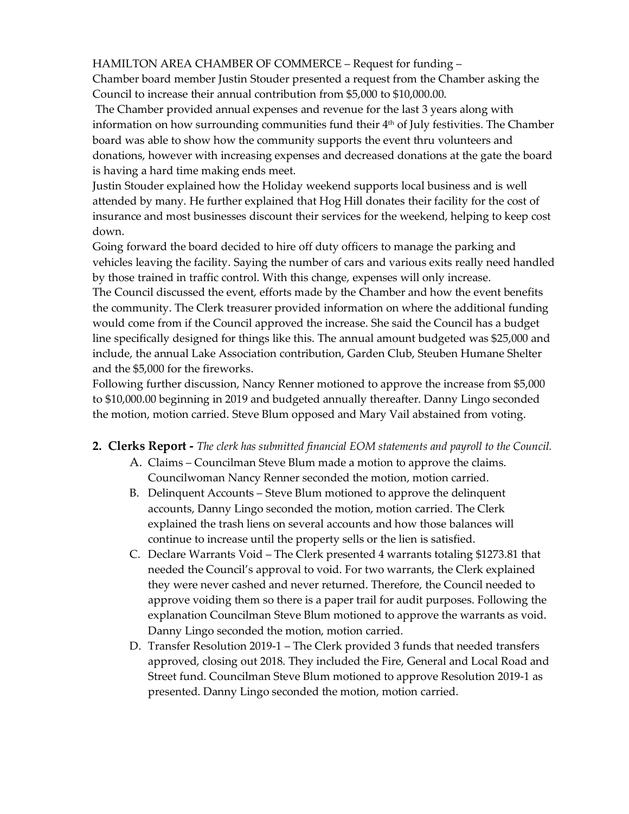HAMILTON AREA CHAMBER OF COMMERCE – Request for funding –

Chamber board member Justin Stouder presented a request from the Chamber asking the Council to increase their annual contribution from \$5,000 to \$10,000.00.

The Chamber provided annual expenses and revenue for the last 3 years along with information on how surrounding communities fund their 4<sup>th</sup> of July festivities. The Chamber board was able to show how the community supports the event thru volunteers and donations, however with increasing expenses and decreased donations at the gate the board is having a hard time making ends meet.

Justin Stouder explained how the Holiday weekend supports local business and is well attended by many. He further explained that Hog Hill donates their facility for the cost of insurance and most businesses discount their services for the weekend, helping to keep cost down.

Going forward the board decided to hire off duty officers to manage the parking and vehicles leaving the facility. Saying the number of cars and various exits really need handled by those trained in traffic control. With this change, expenses will only increase. The Council discussed the event, efforts made by the Chamber and how the event benefits the community. The Clerk treasurer provided information on where the additional funding would come from if the Council approved the increase. She said the Council has a budget line specifically designed for things like this. The annual amount budgeted was \$25,000 and include, the annual Lake Association contribution, Garden Club, Steuben Humane Shelter and the \$5,000 for the fireworks.

Following further discussion, Nancy Renner motioned to approve the increase from \$5,000 to \$10,000.00 beginning in 2019 and budgeted annually thereafter. Danny Lingo seconded the motion, motion carried. Steve Blum opposed and Mary Vail abstained from voting.

#### **2. Clerks Report -** *The clerk has submitted financial EOM statements and payroll to the Council.*

- A. Claims Councilman Steve Blum made a motion to approve the claims. Councilwoman Nancy Renner seconded the motion, motion carried.
- B. Delinquent Accounts Steve Blum motioned to approve the delinquent accounts, Danny Lingo seconded the motion, motion carried. The Clerk explained the trash liens on several accounts and how those balances will continue to increase until the property sells or the lien is satisfied.
- C. Declare Warrants Void The Clerk presented 4 warrants totaling \$1273.81 that needed the Council's approval to void. For two warrants, the Clerk explained they were never cashed and never returned. Therefore, the Council needed to approve voiding them so there is a paper trail for audit purposes. Following the explanation Councilman Steve Blum motioned to approve the warrants as void. Danny Lingo seconded the motion, motion carried.
- D. Transfer Resolution 2019-1 The Clerk provided 3 funds that needed transfers approved, closing out 2018. They included the Fire, General and Local Road and Street fund. Councilman Steve Blum motioned to approve Resolution 2019-1 as presented. Danny Lingo seconded the motion, motion carried.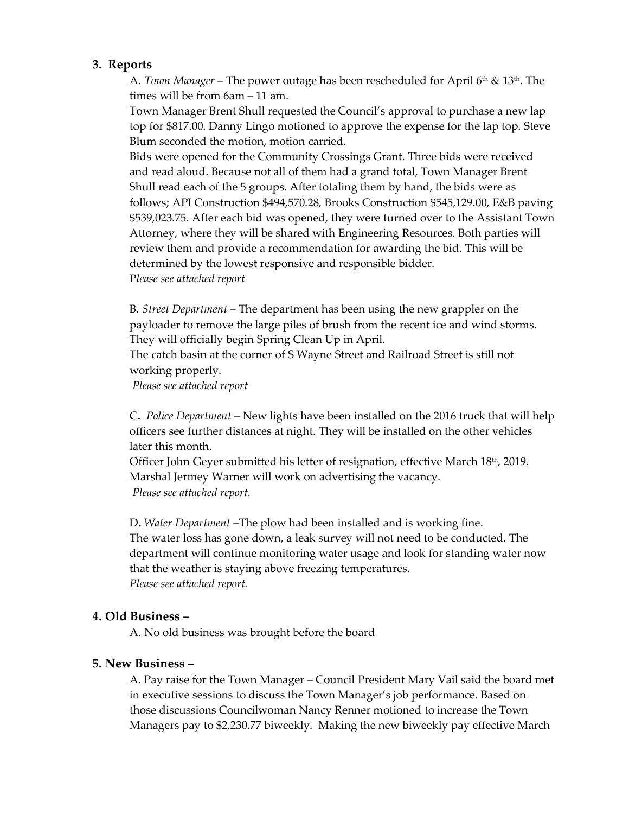#### **3. Reports**

A. *Town Manager* – The power outage has been rescheduled for April 6th & 13th. The times will be from 6am – 11 am.

Town Manager Brent Shull requested the Council's approval to purchase a new lap top for \$817.00. Danny Lingo motioned to approve the expense for the lap top. Steve Blum seconded the motion, motion carried.

Bids were opened for the Community Crossings Grant. Three bids were received and read aloud. Because not all of them had a grand total, Town Manager Brent Shull read each of the 5 groups. After totaling them by hand, the bids were as follows; API Construction \$494,570.28, Brooks Construction \$545,129.00, E&B paving \$539,023.75. After each bid was opened, they were turned over to the Assistant Town Attorney, where they will be shared with Engineering Resources. Both parties will review them and provide a recommendation for awarding the bid. This will be determined by the lowest responsive and responsible bidder. P*lease see attached report*

B*. Street Department* – The department has been using the new grappler on the payloader to remove the large piles of brush from the recent ice and wind storms. They will officially begin Spring Clean Up in April.

The catch basin at the corner of S Wayne Street and Railroad Street is still not working properly.

*Please see attached report*

C**.** *Police Department –* New lights have been installed on the 2016 truck that will help officers see further distances at night. They will be installed on the other vehicles later this month.

Officer John Geyer submitted his letter of resignation, effective March 18<sup>th</sup>, 2019. Marshal Jermey Warner will work on advertising the vacancy. *Please see attached report.*

D**.** *Water Department* –The plow had been installed and is working fine. The water loss has gone down, a leak survey will not need to be conducted. The department will continue monitoring water usage and look for standing water now that the weather is staying above freezing temperatures. *Please see attached report.* 

#### **4. Old Business –**

A. No old business was brought before the board

#### **5. New Business –**

A. Pay raise for the Town Manager – Council President Mary Vail said the board met in executive sessions to discuss the Town Manager's job performance. Based on those discussions Councilwoman Nancy Renner motioned to increase the Town Managers pay to \$2,230.77 biweekly. Making the new biweekly pay effective March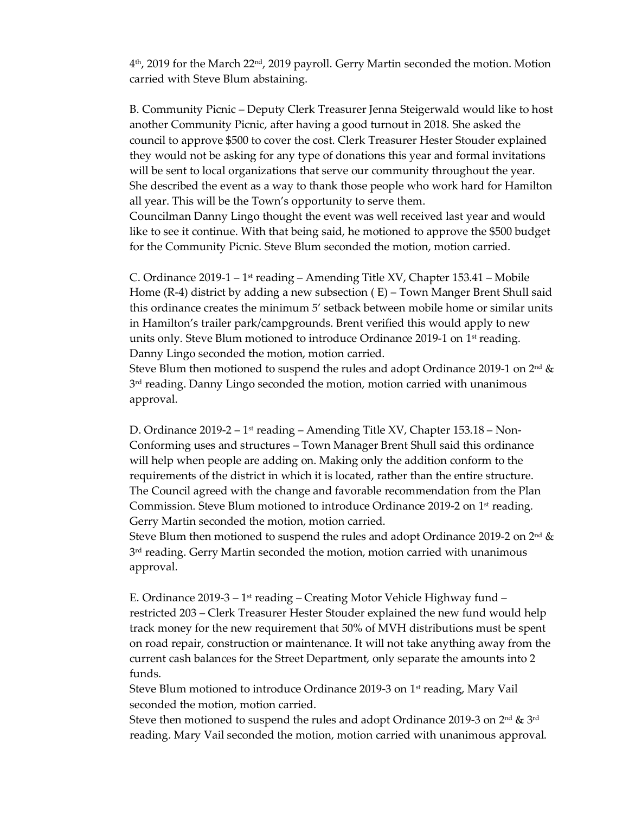$4<sup>th</sup>$ , 2019 for the March 22<sup>nd</sup>, 2019 payroll. Gerry Martin seconded the motion. Motion carried with Steve Blum abstaining.

B. Community Picnic – Deputy Clerk Treasurer Jenna Steigerwald would like to host another Community Picnic, after having a good turnout in 2018. She asked the council to approve \$500 to cover the cost. Clerk Treasurer Hester Stouder explained they would not be asking for any type of donations this year and formal invitations will be sent to local organizations that serve our community throughout the year. She described the event as a way to thank those people who work hard for Hamilton all year. This will be the Town's opportunity to serve them. Councilman Danny Lingo thought the event was well received last year and would like to see it continue. With that being said, he motioned to approve the \$500 budget for the Community Picnic. Steve Blum seconded the motion, motion carried.

C. Ordinance 2019-1 – 1<sup>st</sup> reading – Amending Title XV, Chapter 153.41 – Mobile Home (R-4) district by adding a new subsection ( E) – Town Manger Brent Shull said this ordinance creates the minimum 5' setback between mobile home or similar units in Hamilton's trailer park/campgrounds. Brent verified this would apply to new units only. Steve Blum motioned to introduce Ordinance 2019-1 on  $1<sup>st</sup>$  reading. Danny Lingo seconded the motion, motion carried.

Steve Blum then motioned to suspend the rules and adopt Ordinance 2019-1 on  $2<sup>nd</sup>$  & 3<sup>rd</sup> reading. Danny Lingo seconded the motion, motion carried with unanimous approval.

D. Ordinance 2019-2 – 1<sup>st</sup> reading – Amending Title XV, Chapter 153.18 – Non-Conforming uses and structures – Town Manager Brent Shull said this ordinance will help when people are adding on. Making only the addition conform to the requirements of the district in which it is located, rather than the entire structure. The Council agreed with the change and favorable recommendation from the Plan Commission. Steve Blum motioned to introduce Ordinance 2019-2 on  $1<sup>st</sup>$  reading. Gerry Martin seconded the motion, motion carried.

Steve Blum then motioned to suspend the rules and adopt Ordinance 2019-2 on  $2<sup>nd</sup>$  & 3<sup>rd</sup> reading. Gerry Martin seconded the motion, motion carried with unanimous approval.

E. Ordinance 2019-3 – 1<sup>st</sup> reading – Creating Motor Vehicle Highway fund – restricted 203 – Clerk Treasurer Hester Stouder explained the new fund would help track money for the new requirement that 50% of MVH distributions must be spent on road repair, construction or maintenance. It will not take anything away from the current cash balances for the Street Department, only separate the amounts into 2 funds.

Steve Blum motioned to introduce Ordinance 2019-3 on 1<sup>st</sup> reading, Mary Vail seconded the motion, motion carried.

Steve then motioned to suspend the rules and adopt Ordinance 2019-3 on  $2^{nd}$  &  $3^{rd}$ reading. Mary Vail seconded the motion, motion carried with unanimous approval.